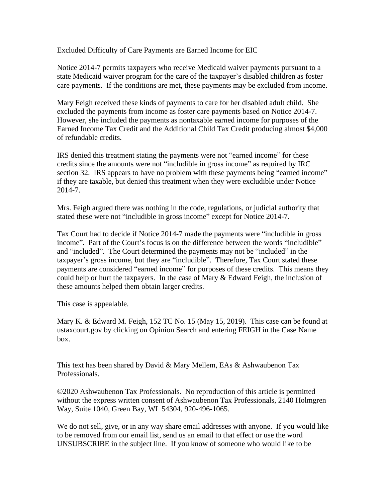Excluded Difficulty of Care Payments are Earned Income for EIC

Notice 2014-7 permits taxpayers who receive Medicaid waiver payments pursuant to a state Medicaid waiver program for the care of the taxpayer's disabled children as foster care payments. If the conditions are met, these payments may be excluded from income.

Mary Feigh received these kinds of payments to care for her disabled adult child. She excluded the payments from income as foster care payments based on Notice 2014-7. However, she included the payments as nontaxable earned income for purposes of the Earned Income Tax Credit and the Additional Child Tax Credit producing almost \$4,000 of refundable credits.

IRS denied this treatment stating the payments were not "earned income" for these credits since the amounts were not "includible in gross income" as required by IRC section 32. IRS appears to have no problem with these payments being "earned income" if they are taxable, but denied this treatment when they were excludible under Notice 2014-7.

Mrs. Feigh argued there was nothing in the code, regulations, or judicial authority that stated these were not "includible in gross income" except for Notice 2014-7.

Tax Court had to decide if Notice 2014-7 made the payments were "includible in gross income". Part of the Court's focus is on the difference between the words "includible" and "included". The Court determined the payments may not be "included" in the taxpayer's gross income, but they are "includible". Therefore, Tax Court stated these payments are considered "earned income" for purposes of these credits. This means they could help or hurt the taxpayers. In the case of Mary & Edward Feigh, the inclusion of these amounts helped them obtain larger credits.

This case is appealable.

Mary K. & Edward M. Feigh, 152 TC No. 15 (May 15, 2019). This case can be found at ustaxcourt.gov by clicking on Opinion Search and entering FEIGH in the Case Name box.

This text has been shared by David & Mary Mellem, EAs & Ashwaubenon Tax Professionals.

©2020 Ashwaubenon Tax Professionals. No reproduction of this article is permitted without the express written consent of Ashwaubenon Tax Professionals, 2140 Holmgren Way, Suite 1040, Green Bay, WI 54304, 920-496-1065.

We do not sell, give, or in any way share email addresses with anyone. If you would like to be removed from our email list, send us an email to that effect or use the word UNSUBSCRIBE in the subject line. If you know of someone who would like to be